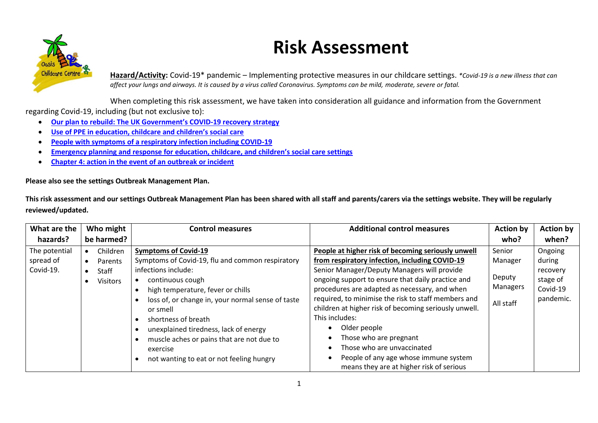

## **Risk Assessment**

**Hazard/Activity:** Covid-19\* pandemic – Implementing protective measures in our childcare settings. *\*Covid-19 is a new illness that can affect your lungs and airways. It is caused by a virus called Coronavirus. Symptoms can be mild, moderate, severe or fatal.*

When completing this risk assessment, we have taken into consideration all guidance and information from the Government regarding Covid-19, including (but not exclusive to):

- **[Our plan to rebuild: The UK Government's COVID](https://www.gov.uk/government/publications/our-plan-to-rebuild-the-uk-governments-covid-19-recovery-strategy)-19 recovery strategy**
- **[Use of PPE in education, childcare and children's social care](https://www.gov.uk/government/publications/safe-working-in-education-childcare-and-childrens-social-care)**
- **[People with symptoms of a respiratory infection including COVID-19](https://www.gov.uk/guidance/people-with-symptoms-of-a-respiratory-infection-including-covid-19#who-this-guidance-is-for)**
- **Emergency planning and response for [education, childcare, and children's social care settings](https://www.gov.uk/government/publications/emergency-planning-and-response-for-education-childcare-and-childrens-social-care-settings)**
- **[Chapter 4: action in the event of an outbreak or incident](https://www.gov.uk/government/publications/health-protection-in-schools-and-other-childcare-facilities/chapter-4-action-in-the-event-of-an-outbreak-or-incident)**

**Please also see the settings Outbreak Management Plan.**

**This risk assessment and our settings Outbreak Management Plan has been shared with all staff and parents/carers via the settings website. They will be regularly reviewed/updated.**

| What are the                            | Who might                                              | <b>Control measures</b>                                                                                                                                                                                                                                                                                                                       | <b>Additional control measures</b>                                                                                                                                                                                                                                                                                                                                                                                                    | <b>Action by</b>                                     | <b>Action by</b>                                                   |
|-----------------------------------------|--------------------------------------------------------|-----------------------------------------------------------------------------------------------------------------------------------------------------------------------------------------------------------------------------------------------------------------------------------------------------------------------------------------------|---------------------------------------------------------------------------------------------------------------------------------------------------------------------------------------------------------------------------------------------------------------------------------------------------------------------------------------------------------------------------------------------------------------------------------------|------------------------------------------------------|--------------------------------------------------------------------|
| hazards?                                | be harmed?                                             |                                                                                                                                                                                                                                                                                                                                               |                                                                                                                                                                                                                                                                                                                                                                                                                                       | who?                                                 | when?                                                              |
| The potential<br>spread of<br>Covid-19. | Children<br>Parents<br><b>Staff</b><br><b>Visitors</b> | <b>Symptoms of Covid-19</b><br>Symptoms of Covid-19, flu and common respiratory<br>infections include:<br>continuous cough<br>high temperature, fever or chills<br>loss of, or change in, your normal sense of taste<br>or smell<br>shortness of breath<br>unexplained tiredness, lack of energy<br>muscle aches or pains that are not due to | People at higher risk of becoming seriously unwell<br>from respiratory infection, including COVID-19<br>Senior Manager/Deputy Managers will provide<br>ongoing support to ensure that daily practice and<br>procedures are adapted as necessary, and when<br>required, to minimise the risk to staff members and<br>children at higher risk of becoming seriously unwell.<br>This includes:<br>Older people<br>Those who are pregnant | Senior<br>Manager<br>Deputy<br>Managers<br>All staff | Ongoing<br>during<br>recovery<br>stage of<br>Covid-19<br>pandemic. |
|                                         |                                                        | exercise<br>not wanting to eat or not feeling hungry                                                                                                                                                                                                                                                                                          | Those who are unvaccinated<br>People of any age whose immune system<br>means they are at higher risk of serious                                                                                                                                                                                                                                                                                                                       |                                                      |                                                                    |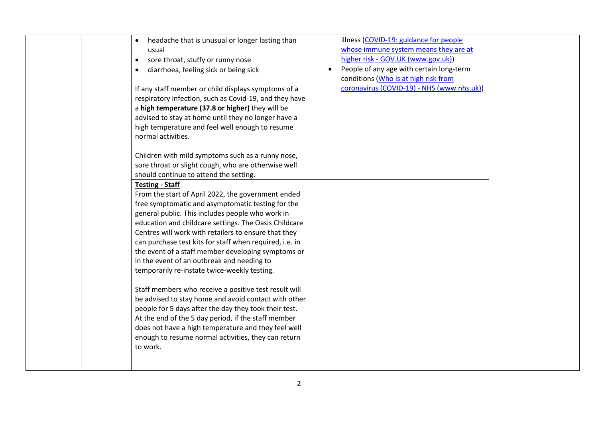| headache that is unusual or longer lasting than<br>usual<br>sore throat, stuffy or runny nose<br>$\bullet$<br>diarrhoea, feeling sick or being sick<br>If any staff member or child displays symptoms of a<br>respiratory infection, such as Covid-19, and they have<br>a high temperature (37.8 or higher) they will be<br>advised to stay at home until they no longer have a<br>high temperature and feel well enough to resume<br>normal activities.<br>Children with mild symptoms such as a runny nose,<br>sore throat or slight cough, who are otherwise well<br>should continue to attend the setting.<br><b>Testing - Staff</b><br>From the start of April 2022, the government ended<br>free symptomatic and asymptomatic testing for the<br>general public. This includes people who work in<br>education and childcare settings. The Oasis Childcare<br>Centres will work with retailers to ensure that they<br>can purchase test kits for staff when required, i.e. in<br>the event of a staff member developing symptoms or<br>in the event of an outbreak and needing to<br>temporarily re-instate twice-weekly testing.<br>Staff members who receive a positive test result will<br>be advised to stay home and avoid contact with other<br>people for 5 days after the day they took their test.<br>At the end of the 5 day period, if the staff member<br>does not have a high temperature and they feel well<br>enough to resume normal activities, they can return<br>to work. | illness (COVID-19: guidance for people<br>whose immune system means they are at<br>higher risk - GOV.UK (www.gov.uk))<br>People of any age with certain long-term<br>conditions (Who is at high risk from<br>coronavirus (COVID-19) - NHS (www.nhs.uk)) |  |  |
|----------------------------------------------------------------------------------------------------------------------------------------------------------------------------------------------------------------------------------------------------------------------------------------------------------------------------------------------------------------------------------------------------------------------------------------------------------------------------------------------------------------------------------------------------------------------------------------------------------------------------------------------------------------------------------------------------------------------------------------------------------------------------------------------------------------------------------------------------------------------------------------------------------------------------------------------------------------------------------------------------------------------------------------------------------------------------------------------------------------------------------------------------------------------------------------------------------------------------------------------------------------------------------------------------------------------------------------------------------------------------------------------------------------------------------------------------------------------------------------------------|---------------------------------------------------------------------------------------------------------------------------------------------------------------------------------------------------------------------------------------------------------|--|--|
|----------------------------------------------------------------------------------------------------------------------------------------------------------------------------------------------------------------------------------------------------------------------------------------------------------------------------------------------------------------------------------------------------------------------------------------------------------------------------------------------------------------------------------------------------------------------------------------------------------------------------------------------------------------------------------------------------------------------------------------------------------------------------------------------------------------------------------------------------------------------------------------------------------------------------------------------------------------------------------------------------------------------------------------------------------------------------------------------------------------------------------------------------------------------------------------------------------------------------------------------------------------------------------------------------------------------------------------------------------------------------------------------------------------------------------------------------------------------------------------------------|---------------------------------------------------------------------------------------------------------------------------------------------------------------------------------------------------------------------------------------------------------|--|--|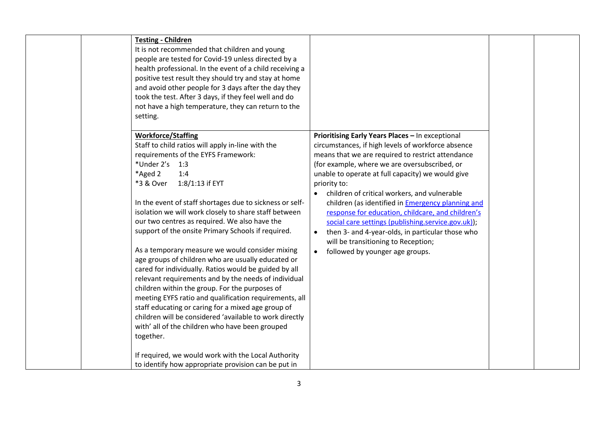| <b>Testing - Children</b><br>It is not recommended that children and young<br>people are tested for Covid-19 unless directed by a<br>health professional. In the event of a child receiving a<br>positive test result they should try and stay at home<br>and avoid other people for 3 days after the day they<br>took the test. After 3 days, if they feel well and do<br>not have a high temperature, they can return to the<br>setting.<br><b>Workforce/Staffing</b><br>Staff to child ratios will apply in-line with the                                                                                                                                                                                                    | Prioritising Early Years Places - In exceptional<br>circumstances, if high levels of workforce absence                                                                                                                                                                                                                                                                                                                                                                                                                                                 |  |
|---------------------------------------------------------------------------------------------------------------------------------------------------------------------------------------------------------------------------------------------------------------------------------------------------------------------------------------------------------------------------------------------------------------------------------------------------------------------------------------------------------------------------------------------------------------------------------------------------------------------------------------------------------------------------------------------------------------------------------|--------------------------------------------------------------------------------------------------------------------------------------------------------------------------------------------------------------------------------------------------------------------------------------------------------------------------------------------------------------------------------------------------------------------------------------------------------------------------------------------------------------------------------------------------------|--|
| requirements of the EYFS Framework:<br>*Under 2's 1:3<br>*Aged 2<br>1:4<br>*3 & Over<br>1:8/1:13 if EYT<br>In the event of staff shortages due to sickness or self-<br>isolation we will work closely to share staff between<br>our two centres as required. We also have the<br>support of the onsite Primary Schools if required.<br>As a temporary measure we would consider mixing<br>age groups of children who are usually educated or<br>cared for individually. Ratios would be guided by all<br>relevant requirements and by the needs of individual<br>children within the group. For the purposes of<br>meeting EYFS ratio and qualification requirements, all<br>staff educating or caring for a mixed age group of | means that we are required to restrict attendance<br>(for example, where we are oversubscribed, or<br>unable to operate at full capacity) we would give<br>priority to:<br>children of critical workers, and vulnerable<br>$\bullet$<br>children (as identified in <b>Emergency planning and</b><br>response for education, childcare, and children's<br>social care settings (publishing.service.gov.uk));<br>then 3- and 4-year-olds, in particular those who<br>will be transitioning to Reception;<br>followed by younger age groups.<br>$\bullet$ |  |
| children will be considered 'available to work directly<br>with' all of the children who have been grouped<br>together.<br>If required, we would work with the Local Authority<br>to identify how appropriate provision can be put in                                                                                                                                                                                                                                                                                                                                                                                                                                                                                           |                                                                                                                                                                                                                                                                                                                                                                                                                                                                                                                                                        |  |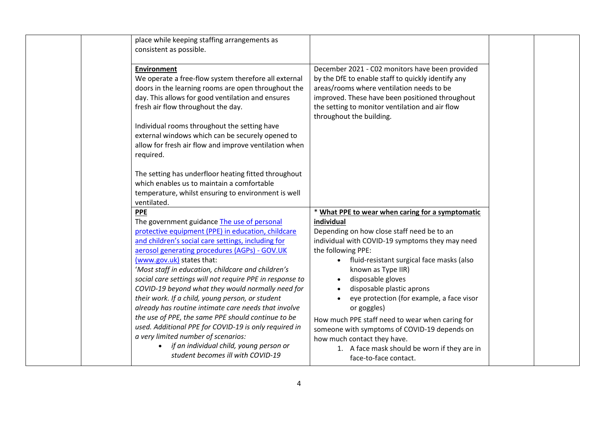| place while keeping staffing arrangements as<br>consistent as possible.<br><b>Environment</b><br>We operate a free-flow system therefore all external<br>doors in the learning rooms are open throughout the<br>day. This allows for good ventilation and ensures<br>fresh air flow throughout the day.<br>Individual rooms throughout the setting have<br>external windows which can be securely opened to<br>allow for fresh air flow and improve ventilation when<br>required.                                                                                                                                                                                                                                                                              | December 2021 - C02 monitors have been provided<br>by the DfE to enable staff to quickly identify any<br>areas/rooms where ventilation needs to be<br>improved. These have been positioned throughout<br>the setting to monitor ventilation and air flow<br>throughout the building.                                                                                                                                                                                                                                          |  |
|----------------------------------------------------------------------------------------------------------------------------------------------------------------------------------------------------------------------------------------------------------------------------------------------------------------------------------------------------------------------------------------------------------------------------------------------------------------------------------------------------------------------------------------------------------------------------------------------------------------------------------------------------------------------------------------------------------------------------------------------------------------|-------------------------------------------------------------------------------------------------------------------------------------------------------------------------------------------------------------------------------------------------------------------------------------------------------------------------------------------------------------------------------------------------------------------------------------------------------------------------------------------------------------------------------|--|
| The setting has underfloor heating fitted throughout<br>which enables us to maintain a comfortable<br>temperature, whilst ensuring to environment is well<br>ventilated.<br><b>PPE</b>                                                                                                                                                                                                                                                                                                                                                                                                                                                                                                                                                                         | * What PPE to wear when caring for a symptomatic                                                                                                                                                                                                                                                                                                                                                                                                                                                                              |  |
| The government guidance The use of personal<br>protective equipment (PPE) in education, childcare<br>and children's social care settings, including for<br>aerosol generating procedures (AGPs) - GOV.UK<br>(www.gov.uk) states that:<br>'Most staff in education, childcare and children's<br>social care settings will not require PPE in response to<br>COVID-19 beyond what they would normally need for<br>their work. If a child, young person, or student<br>already has routine intimate care needs that involve<br>the use of PPE, the same PPE should continue to be<br>used. Additional PPE for COVID-19 is only required in<br>a very limited number of scenarios:<br>if an individual child, young person or<br>student becomes ill with COVID-19 | individual<br>Depending on how close staff need be to an<br>individual with COVID-19 symptoms they may need<br>the following PPE:<br>fluid-resistant surgical face masks (also<br>known as Type IIR)<br>disposable gloves<br>disposable plastic aprons<br>eye protection (for example, a face visor<br>or goggles)<br>How much PPE staff need to wear when caring for<br>someone with symptoms of COVID-19 depends on<br>how much contact they have.<br>1. A face mask should be worn if they are in<br>face-to-face contact. |  |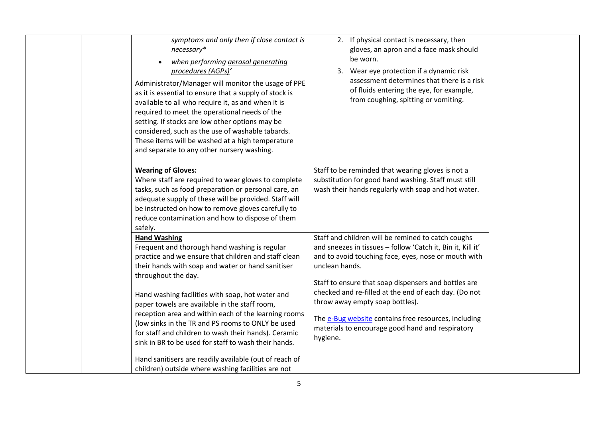| symptoms and only then if close contact is<br>necessary*<br>when performing aerosol generating<br>procedures (AGPs)'<br>Administrator/Manager will monitor the usage of PPE<br>as it is essential to ensure that a supply of stock is<br>available to all who require it, as and when it is<br>required to meet the operational needs of the<br>setting. If stocks are low other options may be<br>considered, such as the use of washable tabards.<br>These items will be washed at a high temperature<br>and separate to any other nursery washing.<br><b>Wearing of Gloves:</b>                                                                         | 2. If physical contact is necessary, then<br>gloves, an apron and a face mask should<br>be worn.<br>3. Wear eye protection if a dynamic risk<br>assessment determines that there is a risk<br>of fluids entering the eye, for example,<br>from coughing, spitting or vomiting.<br>Staff to be reminded that wearing gloves is not a                                                                                                                                     |
|------------------------------------------------------------------------------------------------------------------------------------------------------------------------------------------------------------------------------------------------------------------------------------------------------------------------------------------------------------------------------------------------------------------------------------------------------------------------------------------------------------------------------------------------------------------------------------------------------------------------------------------------------------|-------------------------------------------------------------------------------------------------------------------------------------------------------------------------------------------------------------------------------------------------------------------------------------------------------------------------------------------------------------------------------------------------------------------------------------------------------------------------|
| Where staff are required to wear gloves to complete<br>tasks, such as food preparation or personal care, an<br>adequate supply of these will be provided. Staff will<br>be instructed on how to remove gloves carefully to<br>reduce contamination and how to dispose of them<br>safely.                                                                                                                                                                                                                                                                                                                                                                   | substitution for good hand washing. Staff must still<br>wash their hands regularly with soap and hot water.                                                                                                                                                                                                                                                                                                                                                             |
| <b>Hand Washing</b><br>Frequent and thorough hand washing is regular<br>practice and we ensure that children and staff clean<br>their hands with soap and water or hand sanitiser<br>throughout the day.<br>Hand washing facilities with soap, hot water and<br>paper towels are available in the staff room,<br>reception area and within each of the learning rooms<br>(low sinks in the TR and PS rooms to ONLY be used<br>for staff and children to wash their hands). Ceramic<br>sink in BR to be used for staff to wash their hands.<br>Hand sanitisers are readily available (out of reach of<br>children) outside where washing facilities are not | Staff and children will be remined to catch coughs<br>and sneezes in tissues - follow 'Catch it, Bin it, Kill it'<br>and to avoid touching face, eyes, nose or mouth with<br>unclean hands.<br>Staff to ensure that soap dispensers and bottles are<br>checked and re-filled at the end of each day. (Do not<br>throw away empty soap bottles).<br>The e-Bug website contains free resources, including<br>materials to encourage good hand and respiratory<br>hygiene. |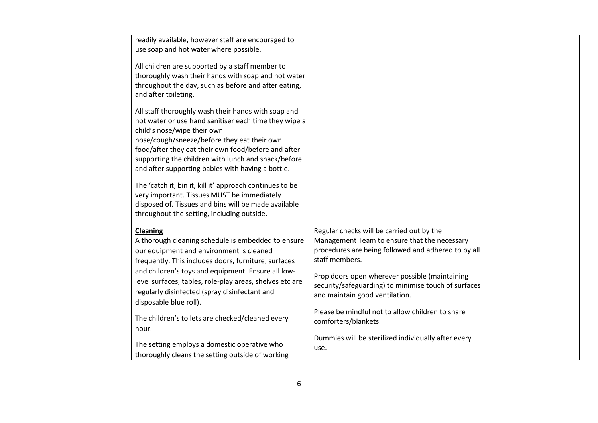| readily available, however staff are encouraged to<br>use soap and hot water where possible.                                                                                                                                                                                                                                                                                                                                                                                                                                                                                   |                                                                                                                                                                                                                                                                                                                                                                                            |  |
|--------------------------------------------------------------------------------------------------------------------------------------------------------------------------------------------------------------------------------------------------------------------------------------------------------------------------------------------------------------------------------------------------------------------------------------------------------------------------------------------------------------------------------------------------------------------------------|--------------------------------------------------------------------------------------------------------------------------------------------------------------------------------------------------------------------------------------------------------------------------------------------------------------------------------------------------------------------------------------------|--|
| All children are supported by a staff member to<br>thoroughly wash their hands with soap and hot water<br>throughout the day, such as before and after eating,<br>and after toileting.                                                                                                                                                                                                                                                                                                                                                                                         |                                                                                                                                                                                                                                                                                                                                                                                            |  |
| All staff thoroughly wash their hands with soap and<br>hot water or use hand sanitiser each time they wipe a<br>child's nose/wipe their own<br>nose/cough/sneeze/before they eat their own<br>food/after they eat their own food/before and after<br>supporting the children with lunch and snack/before<br>and after supporting babies with having a bottle.<br>The 'catch it, bin it, kill it' approach continues to be<br>very important. Tissues MUST be immediately<br>disposed of. Tissues and bins will be made available<br>throughout the setting, including outside. |                                                                                                                                                                                                                                                                                                                                                                                            |  |
| Cleaning<br>A thorough cleaning schedule is embedded to ensure<br>our equipment and environment is cleaned<br>frequently. This includes doors, furniture, surfaces<br>and children's toys and equipment. Ensure all low-<br>level surfaces, tables, role-play areas, shelves etc are<br>regularly disinfected (spray disinfectant and<br>disposable blue roll).<br>The children's toilets are checked/cleaned every<br>hour.                                                                                                                                                   | Regular checks will be carried out by the<br>Management Team to ensure that the necessary<br>procedures are being followed and adhered to by all<br>staff members.<br>Prop doors open wherever possible (maintaining<br>security/safeguarding) to minimise touch of surfaces<br>and maintain good ventilation.<br>Please be mindful not to allow children to share<br>comforters/blankets. |  |
| The setting employs a domestic operative who<br>thoroughly cleans the setting outside of working                                                                                                                                                                                                                                                                                                                                                                                                                                                                               | Dummies will be sterilized individually after every<br>use.                                                                                                                                                                                                                                                                                                                                |  |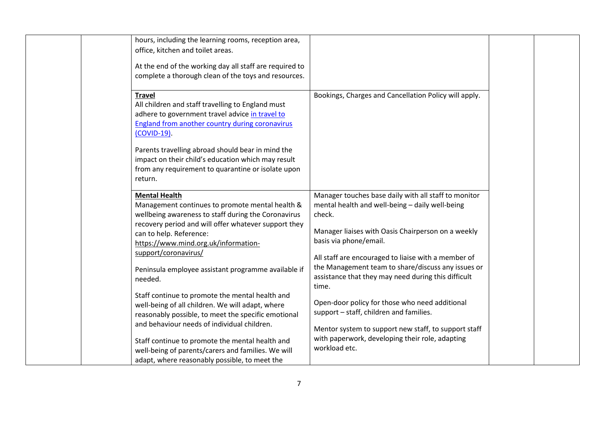| hours, including the learning rooms, reception area,<br>office, kitchen and toilet areas.                                                                                                                                                                                                                                                                           |                                                                                                                                                                                                                                                                                                                                                                                |  |
|---------------------------------------------------------------------------------------------------------------------------------------------------------------------------------------------------------------------------------------------------------------------------------------------------------------------------------------------------------------------|--------------------------------------------------------------------------------------------------------------------------------------------------------------------------------------------------------------------------------------------------------------------------------------------------------------------------------------------------------------------------------|--|
| At the end of the working day all staff are required to<br>complete a thorough clean of the toys and resources.                                                                                                                                                                                                                                                     |                                                                                                                                                                                                                                                                                                                                                                                |  |
| <b>Travel</b><br>All children and staff travelling to England must<br>adhere to government travel advice in travel to<br>England from another country during coronavirus<br>(COVID-19).                                                                                                                                                                             | Bookings, Charges and Cancellation Policy will apply.                                                                                                                                                                                                                                                                                                                          |  |
| Parents travelling abroad should bear in mind the<br>impact on their child's education which may result<br>from any requirement to quarantine or isolate upon<br>return.                                                                                                                                                                                            |                                                                                                                                                                                                                                                                                                                                                                                |  |
| <b>Mental Health</b><br>Management continues to promote mental health &<br>wellbeing awareness to staff during the Coronavirus<br>recovery period and will offer whatever support they<br>can to help. Reference:<br>https://www.mind.org.uk/information-<br>support/coronavirus/<br>Peninsula employee assistant programme available if<br>needed.                 | Manager touches base daily with all staff to monitor<br>mental health and well-being - daily well-being<br>check.<br>Manager liaises with Oasis Chairperson on a weekly<br>basis via phone/email.<br>All staff are encouraged to liaise with a member of<br>the Management team to share/discuss any issues or<br>assistance that they may need during this difficult<br>time. |  |
| Staff continue to promote the mental health and<br>well-being of all children. We will adapt, where<br>reasonably possible, to meet the specific emotional<br>and behaviour needs of individual children.<br>Staff continue to promote the mental health and<br>well-being of parents/carers and families. We will<br>adapt, where reasonably possible, to meet the | Open-door policy for those who need additional<br>support - staff, children and families.<br>Mentor system to support new staff, to support staff<br>with paperwork, developing their role, adapting<br>workload etc.                                                                                                                                                          |  |